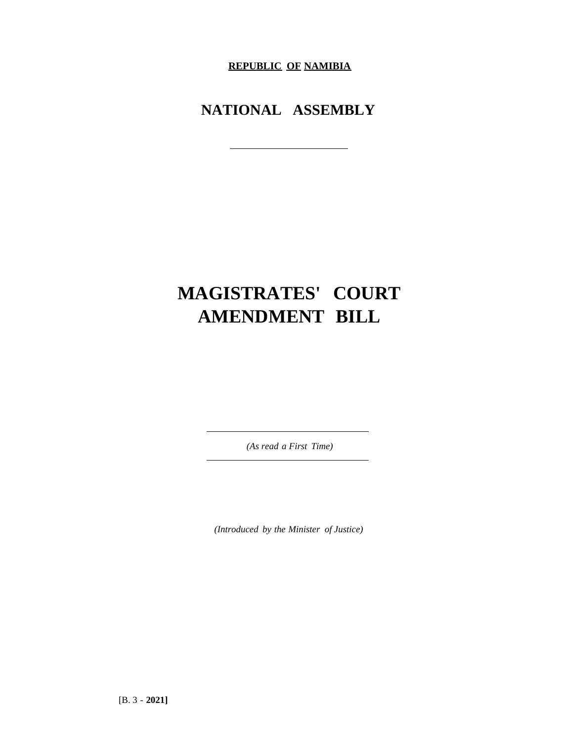**REPUBLIC OF NAMIBIA**

**NATIONAL ASSEMBLY**

## **MAGISTRATES' COURT AMENDMENT BILL**

*(As read a First Time)*

*(Introduced by the Minister of Justice)*

[B. 3 - **2021]**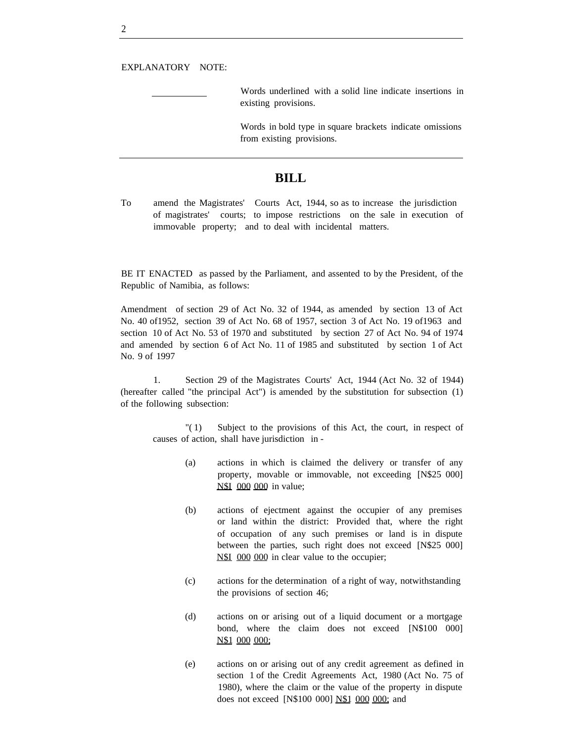Words underlined with a solid line indicate insertions in existing provisions.

Words in bold type in square brackets indicate omissions from existing provisions.

## **BILL**

To amend the Magistrates' Courts Act, 1944, so as to increase the jurisdiction of magistrates' courts; to impose restrictions on the sale in execution of immovable property; and to deal with incidental matters.

BE IT ENACTED as passed by the Parliament, and assented to by the President, of the Republic of Namibia, as follows:

Amendment of section 29 of Act No. 32 of 1944, as amended by section 13 of Act No. 40 of1952, section 39 of Act No. 68 of 1957, section 3 of Act No. 19 of1963 and section 10 of Act No. 53 of 1970 and substituted by section 27 of Act No. 94 of 1974 and amended by section 6 of Act No. 11 of 1985 and substituted by section 1 of Act No. 9 of 1997

1. Section 29 of the Magistrates Courts' Act, 1944 (Act No. 32 of 1944) (hereafter called "the principal Act") is amended by the substitution for subsection (1) of the following subsection:

"( 1) Subject to the provisions of this Act, the court, in respect of causes of action, shall have jurisdiction in -

- (a) actions in which is claimed the delivery or transfer of any property, movable or immovable, not exceeding [N\$25 000] N\$I 000 000 in value;
- (b) actions of ejectment against the occupier of any premises or land within the district: Provided that, where the right of occupation of any such premises or land is in dispute between the parties, such right does not exceed [N\$25 000] N\$I 000 000 in clear value to the occupier;
- (c) actions for the determination of a right of way, notwithstanding the provisions of section 46;
- (d) actions on or arising out of a liquid document or a mortgage bond, where the claim does not exceed [N\$100 000] N\$1 000 000;
- (e) actions on or arising out of any credit agreement as defined in section 1 of the Credit Agreements Act, 1980 (Act No. 75 of 1980), where the claim or the value of the property in dispute does not exceed [N\$100 000] N\$1 000 000; and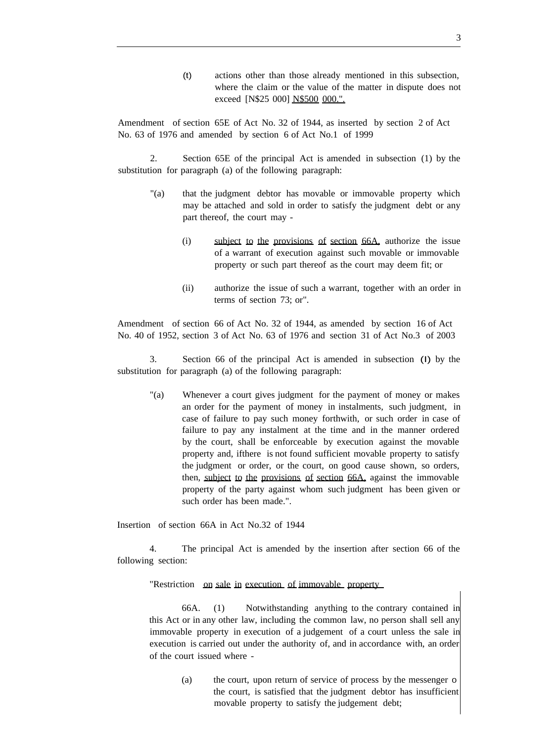(t) actions other than those already mentioned in this subsection, where the claim or the value of the matter in dispute does not exceed [N\$25 000] N\$500 000.".

Amendment of section 65E of Act No. 32 of 1944, as inserted by section 2 of Act No. 63 of 1976 and amended by section 6 of Act No.1 of 1999

2. Section 65E of the principal Act is amended in subsection (1) by the substitution for paragraph (a) of the following paragraph:

- "(a) that the judgment debtor has movable or immovable property which may be attached and sold in order to satisfy the judgment debt or any part thereof, the court may -
	- (i) subject to the provisions of section 66A, authorize the issue of a warrant of execution against such movable or immovable property or such part thereof as the court may deem fit; or
	- (ii) authorize the issue of such a warrant, together with an order in terms of section 73; or".

Amendment of section 66 of Act No. 32 of 1944, as amended by section 16 of Act No. 40 of 1952, section 3 of Act No. 63 of 1976 and section 31 of Act No.3 of 2003

3. Section 66 of the principal Act is amended in subsection (I) by the substitution for paragraph (a) of the following paragraph:

"(a) Whenever a court gives judgment for the payment of money or makes an order for the payment of money in instalments, such judgment, in case of failure to pay such money forthwith, or such order in case of failure to pay any instalment at the time and in the manner ordered by the court, shall be enforceable by execution against the movable property and, ifthere is not found sufficient movable property to satisfy the judgment or order, or the court, on good cause shown, so orders, then, subject to the provisions of section 66A, against the immovable property of the party against whom such judgment has been given or such order has been made.".

Insertion of section 66A in Act No.32 of 1944

4. The principal Act is amended by the insertion after section 66 of the following section:

"Restriction on sale in execution of immovable property

66A. (1) Notwithstanding anything to the contrary contained in this Act or in any other law, including the common law, no person shall sell any immovable property in execution of a judgement of a court unless the sale in execution is carried out under the authority of, and in accordance with, an order of the court issued where -

> (a) the court, upon return of service of process by the messenger 0 the court, is satisfied that the judgment debtor has insufficient movable property to satisfy the judgement debt;